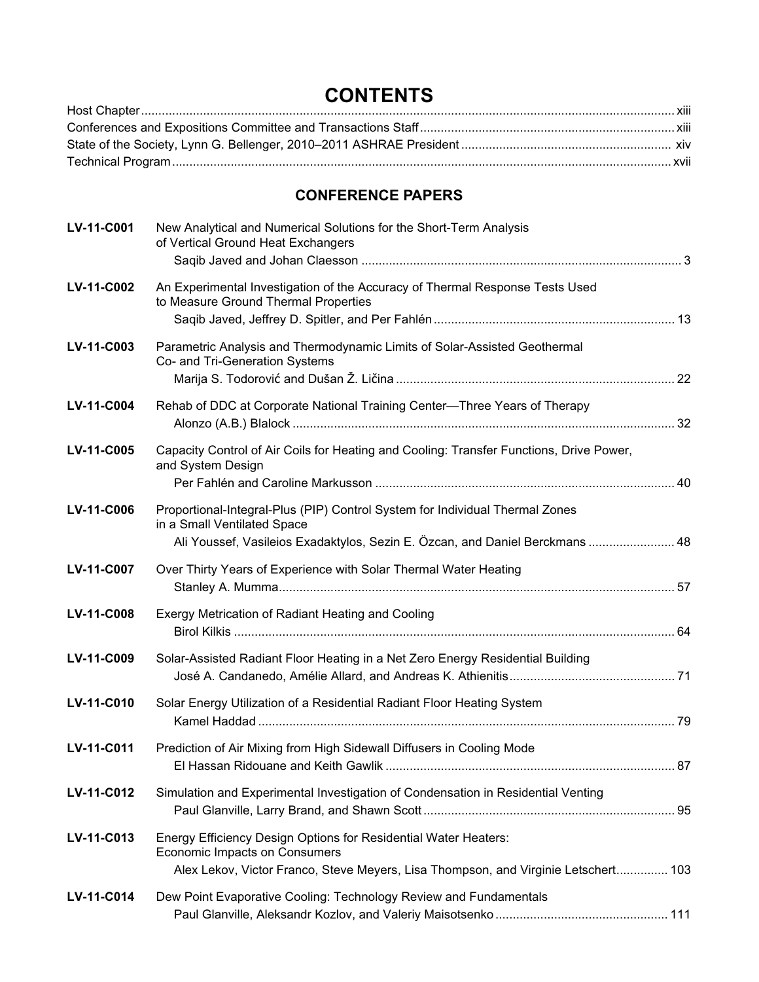## **CONTENTS**

## **CONFERENCE PAPERS**

| LV-11-C001 | New Analytical and Numerical Solutions for the Short-Term Analysis<br>of Vertical Ground Heat Exchangers                                                                                      |  |
|------------|-----------------------------------------------------------------------------------------------------------------------------------------------------------------------------------------------|--|
| LV-11-C002 | An Experimental Investigation of the Accuracy of Thermal Response Tests Used<br>to Measure Ground Thermal Properties                                                                          |  |
| LV-11-C003 | Parametric Analysis and Thermodynamic Limits of Solar-Assisted Geothermal<br>Co- and Tri-Generation Systems                                                                                   |  |
| LV-11-C004 | Rehab of DDC at Corporate National Training Center-Three Years of Therapy                                                                                                                     |  |
| LV-11-C005 | Capacity Control of Air Coils for Heating and Cooling: Transfer Functions, Drive Power,<br>and System Design                                                                                  |  |
| LV-11-C006 | Proportional-Integral-Plus (PIP) Control System for Individual Thermal Zones<br>in a Small Ventilated Space<br>Ali Youssef, Vasileios Exadaktylos, Sezin E. Özcan, and Daniel Berckmans  48   |  |
| LV-11-C007 | Over Thirty Years of Experience with Solar Thermal Water Heating                                                                                                                              |  |
| LV-11-C008 | Exergy Metrication of Radiant Heating and Cooling                                                                                                                                             |  |
| LV-11-C009 | Solar-Assisted Radiant Floor Heating in a Net Zero Energy Residential Building                                                                                                                |  |
| LV-11-C010 | Solar Energy Utilization of a Residential Radiant Floor Heating System                                                                                                                        |  |
| LV-11-C011 | Prediction of Air Mixing from High Sidewall Diffusers in Cooling Mode                                                                                                                         |  |
| LV-11-C012 | Simulation and Experimental Investigation of Condensation in Residential Venting                                                                                                              |  |
| LV-11-C013 | Energy Efficiency Design Options for Residential Water Heaters:<br><b>Economic Impacts on Consumers</b><br>Alex Lekov, Victor Franco, Steve Meyers, Lisa Thompson, and Virginie Letschert 103 |  |
| LV-11-C014 | Dew Point Evaporative Cooling: Technology Review and Fundamentals                                                                                                                             |  |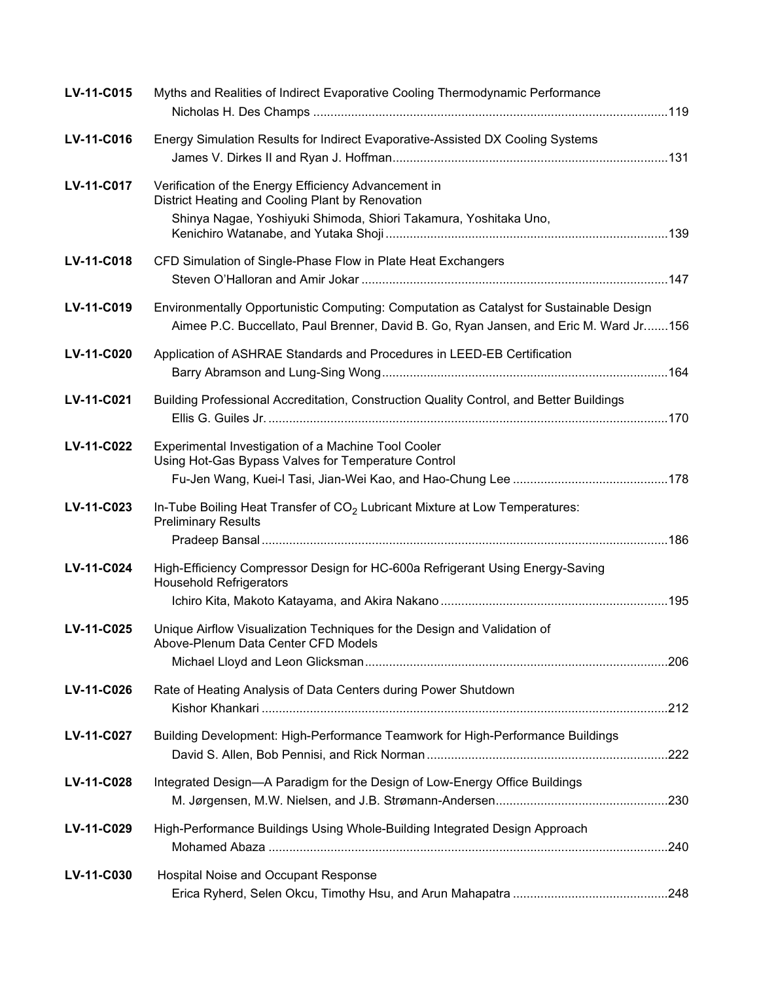| LV-11-C015 | Myths and Realities of Indirect Evaporative Cooling Thermodynamic Performance                                                                                                    |  |
|------------|----------------------------------------------------------------------------------------------------------------------------------------------------------------------------------|--|
| LV-11-C016 | Energy Simulation Results for Indirect Evaporative-Assisted DX Cooling Systems                                                                                                   |  |
| LV-11-C017 | Verification of the Energy Efficiency Advancement in<br>District Heating and Cooling Plant by Renovation<br>Shinya Nagae, Yoshiyuki Shimoda, Shiori Takamura, Yoshitaka Uno,     |  |
| LV-11-C018 | CFD Simulation of Single-Phase Flow in Plate Heat Exchangers                                                                                                                     |  |
| LV-11-C019 | Environmentally Opportunistic Computing: Computation as Catalyst for Sustainable Design<br>Aimee P.C. Buccellato, Paul Brenner, David B. Go, Ryan Jansen, and Eric M. Ward Jr156 |  |
| LV-11-C020 | Application of ASHRAE Standards and Procedures in LEED-EB Certification                                                                                                          |  |
| LV-11-C021 | Building Professional Accreditation, Construction Quality Control, and Better Buildings                                                                                          |  |
| LV-11-C022 | Experimental Investigation of a Machine Tool Cooler<br>Using Hot-Gas Bypass Valves for Temperature Control                                                                       |  |
| LV-11-C023 | In-Tube Boiling Heat Transfer of $CO2$ Lubricant Mixture at Low Temperatures:<br><b>Preliminary Results</b>                                                                      |  |
| LV-11-C024 | High-Efficiency Compressor Design for HC-600a Refrigerant Using Energy-Saving<br><b>Household Refrigerators</b>                                                                  |  |
| LV-11-C025 | Unique Airflow Visualization Techniques for the Design and Validation of<br>Above-Plenum Data Center CFD Models                                                                  |  |
| LV-11-C026 | Rate of Heating Analysis of Data Centers during Power Shutdown                                                                                                                   |  |
| LV-11-C027 | Building Development: High-Performance Teamwork for High-Performance Buildings                                                                                                   |  |
| LV-11-C028 | Integrated Design-A Paradigm for the Design of Low-Energy Office Buildings                                                                                                       |  |
| LV-11-C029 | High-Performance Buildings Using Whole-Building Integrated Design Approach                                                                                                       |  |
| LV-11-C030 | Hospital Noise and Occupant Response                                                                                                                                             |  |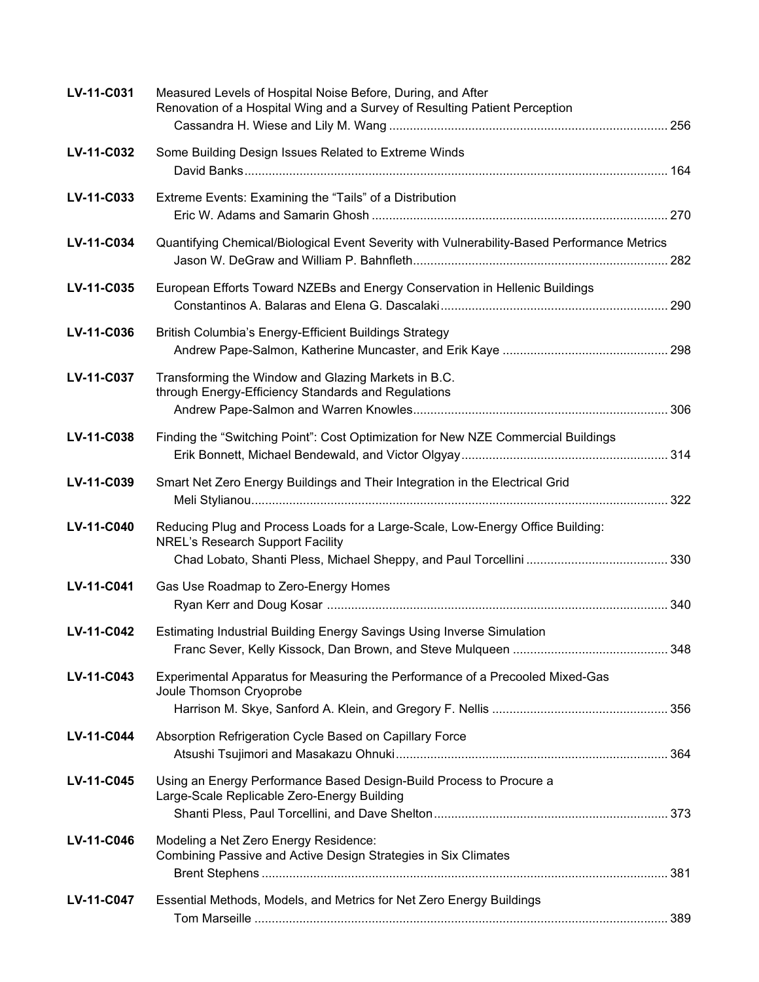| LV-11-C031 | Measured Levels of Hospital Noise Before, During, and After<br>Renovation of a Hospital Wing and a Survey of Resulting Patient Perception |  |
|------------|-------------------------------------------------------------------------------------------------------------------------------------------|--|
| LV-11-C032 | Some Building Design Issues Related to Extreme Winds                                                                                      |  |
| LV-11-C033 | Extreme Events: Examining the "Tails" of a Distribution                                                                                   |  |
| LV-11-C034 | Quantifying Chemical/Biological Event Severity with Vulnerability-Based Performance Metrics                                               |  |
| LV-11-C035 | European Efforts Toward NZEBs and Energy Conservation in Hellenic Buildings                                                               |  |
| LV-11-C036 | British Columbia's Energy-Efficient Buildings Strategy                                                                                    |  |
| LV-11-C037 | Transforming the Window and Glazing Markets in B.C.<br>through Energy-Efficiency Standards and Regulations                                |  |
| LV-11-C038 | Finding the "Switching Point": Cost Optimization for New NZE Commercial Buildings                                                         |  |
| LV-11-C039 | Smart Net Zero Energy Buildings and Their Integration in the Electrical Grid                                                              |  |
| LV-11-C040 | Reducing Plug and Process Loads for a Large-Scale, Low-Energy Office Building:<br><b>NREL's Research Support Facility</b>                 |  |
| LV-11-C041 | Gas Use Roadmap to Zero-Energy Homes                                                                                                      |  |
| LV-11-C042 | Estimating Industrial Building Energy Savings Using Inverse Simulation                                                                    |  |
| LV-11-C043 | Experimental Apparatus for Measuring the Performance of a Precooled Mixed-Gas<br>Joule Thomson Cryoprobe                                  |  |
| LV-11-C044 | Absorption Refrigeration Cycle Based on Capillary Force                                                                                   |  |
| LV-11-C045 | Using an Energy Performance Based Design-Build Process to Procure a<br>Large-Scale Replicable Zero-Energy Building                        |  |
| LV-11-C046 | Modeling a Net Zero Energy Residence:<br>Combining Passive and Active Design Strategies in Six Climates                                   |  |
| LV-11-C047 | Essential Methods, Models, and Metrics for Net Zero Energy Buildings                                                                      |  |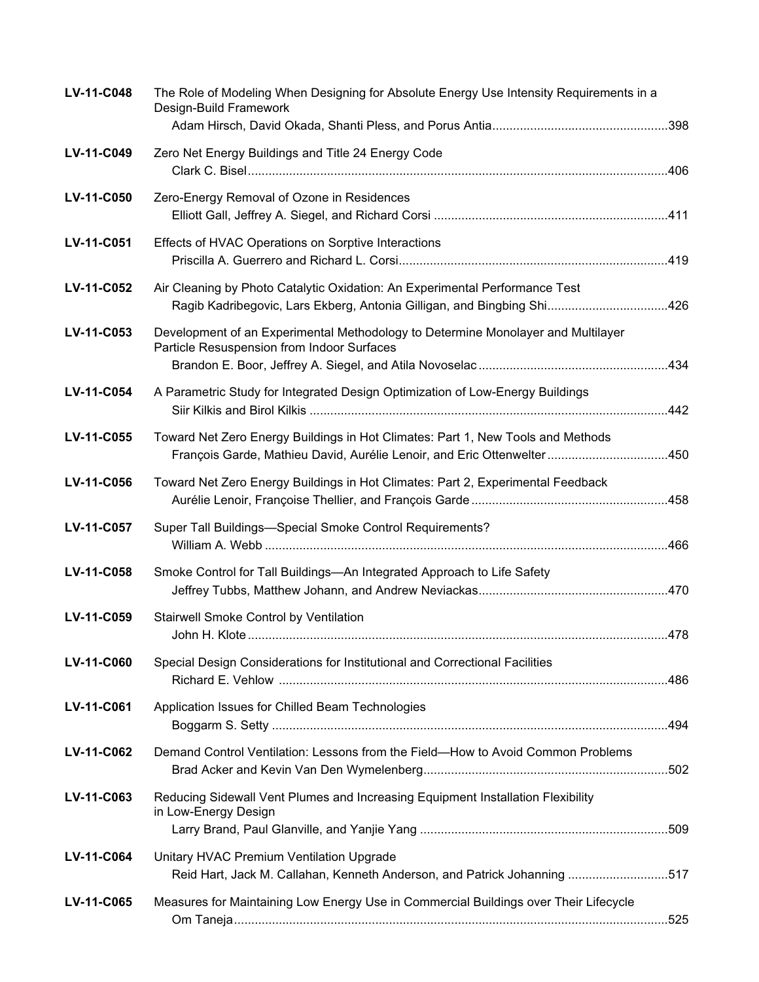| LV-11-C048 | The Role of Modeling When Designing for Absolute Energy Use Intensity Requirements in a<br>Design-Build Framework                                         |  |
|------------|-----------------------------------------------------------------------------------------------------------------------------------------------------------|--|
| LV-11-C049 | Zero Net Energy Buildings and Title 24 Energy Code                                                                                                        |  |
| LV-11-C050 | Zero-Energy Removal of Ozone in Residences                                                                                                                |  |
| LV-11-C051 | Effects of HVAC Operations on Sorptive Interactions                                                                                                       |  |
| LV-11-C052 | Air Cleaning by Photo Catalytic Oxidation: An Experimental Performance Test<br>Ragib Kadribegovic, Lars Ekberg, Antonia Gilligan, and Bingbing Shi426     |  |
| LV-11-C053 | Development of an Experimental Methodology to Determine Monolayer and Multilayer<br>Particle Resuspension from Indoor Surfaces                            |  |
| LV-11-C054 | A Parametric Study for Integrated Design Optimization of Low-Energy Buildings                                                                             |  |
| LV-11-C055 | Toward Net Zero Energy Buildings in Hot Climates: Part 1, New Tools and Methods<br>François Garde, Mathieu David, Aurélie Lenoir, and Eric Ottenwelter450 |  |
| LV-11-C056 | Toward Net Zero Energy Buildings in Hot Climates: Part 2, Experimental Feedback                                                                           |  |
| LV-11-C057 | Super Tall Buildings-Special Smoke Control Requirements?                                                                                                  |  |
| LV-11-C058 | Smoke Control for Tall Buildings-An Integrated Approach to Life Safety                                                                                    |  |
| LV-11-C059 | Stairwell Smoke Control by Ventilation                                                                                                                    |  |
| LV-11-C060 | Special Design Considerations for Institutional and Correctional Facilities                                                                               |  |
| LV-11-C061 | Application Issues for Chilled Beam Technologies                                                                                                          |  |
| LV-11-C062 | Demand Control Ventilation: Lessons from the Field-How to Avoid Common Problems                                                                           |  |
| LV-11-C063 | Reducing Sidewall Vent Plumes and Increasing Equipment Installation Flexibility<br>in Low-Energy Design                                                   |  |
| LV-11-C064 | Unitary HVAC Premium Ventilation Upgrade<br>Reid Hart, Jack M. Callahan, Kenneth Anderson, and Patrick Johanning 517                                      |  |
| LV-11-C065 | Measures for Maintaining Low Energy Use in Commercial Buildings over Their Lifecycle                                                                      |  |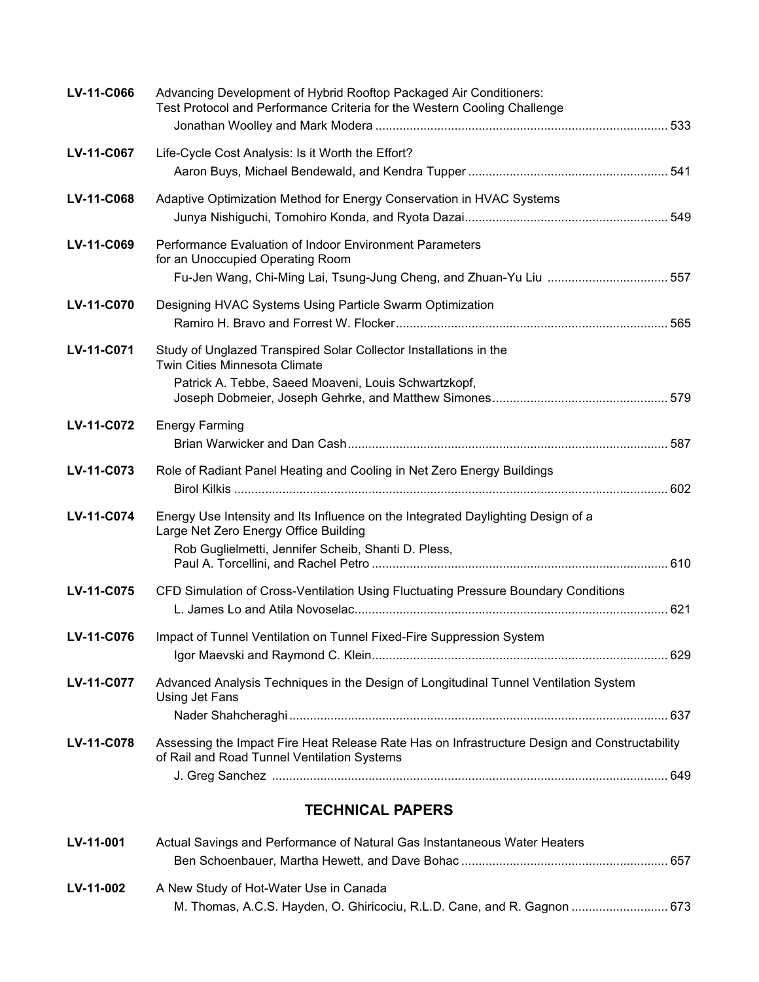| LV-11-C066 | Advancing Development of Hybrid Rooftop Packaged Air Conditioners:<br>Test Protocol and Performance Criteria for the Western Cooling Challenge                                   |  |
|------------|----------------------------------------------------------------------------------------------------------------------------------------------------------------------------------|--|
| LV-11-C067 | Life-Cycle Cost Analysis: Is it Worth the Effort?                                                                                                                                |  |
| LV-11-C068 | Adaptive Optimization Method for Energy Conservation in HVAC Systems                                                                                                             |  |
| LV-11-C069 | Performance Evaluation of Indoor Environment Parameters<br>for an Unoccupied Operating Room                                                                                      |  |
| LV-11-C070 | Designing HVAC Systems Using Particle Swarm Optimization                                                                                                                         |  |
| LV-11-C071 | Study of Unglazed Transpired Solar Collector Installations in the<br><b>Twin Cities Minnesota Climate</b><br>Patrick A. Tebbe, Saeed Moaveni, Louis Schwartzkopf,                |  |
| LV-11-C072 | <b>Energy Farming</b>                                                                                                                                                            |  |
| LV-11-C073 | Role of Radiant Panel Heating and Cooling in Net Zero Energy Buildings                                                                                                           |  |
| LV-11-C074 | Energy Use Intensity and Its Influence on the Integrated Daylighting Design of a<br>Large Net Zero Energy Office Building<br>Rob Guglielmetti, Jennifer Scheib, Shanti D. Pless, |  |
| LV-11-C075 | CFD Simulation of Cross-Ventilation Using Fluctuating Pressure Boundary Conditions                                                                                               |  |
| LV-11-C076 | Impact of Tunnel Ventilation on Tunnel Fixed-Fire Suppression System                                                                                                             |  |
| LV-11-C077 | Advanced Analysis Techniques in the Design of Longitudinal Tunnel Ventilation System<br>Using Jet Fans                                                                           |  |
| LV-11-C078 | Assessing the Impact Fire Heat Release Rate Has on Infrastructure Design and Constructability<br>of Rail and Road Tunnel Ventilation Systems                                     |  |
|            | <b>TECHNICAL PAPERS</b>                                                                                                                                                          |  |
| LV-11-001  | Actual Savings and Performance of Natural Gas Instantaneous Water Heaters                                                                                                        |  |

| <b>LV-11-002</b> | A New Study of Hot-Water Use in Canada                                   |
|------------------|--------------------------------------------------------------------------|
|                  | M. Thomas, A.C.S. Hayden, O. Ghiricociu, R.L.D. Cane, and R. Gagnon  673 |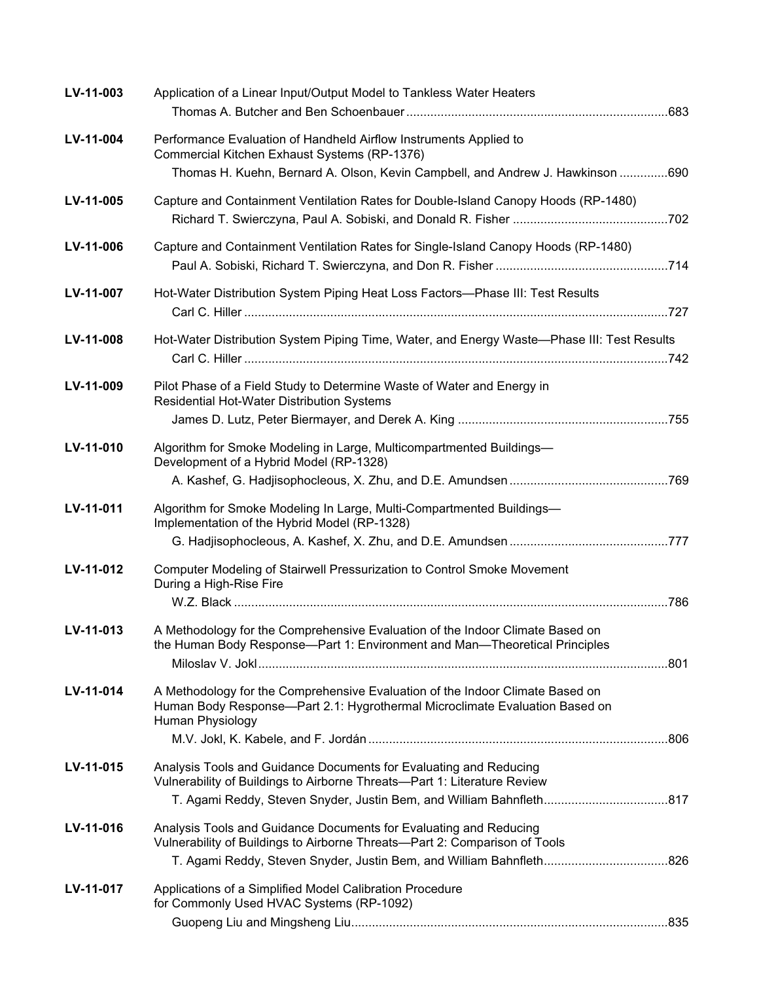| LV-11-003 | Application of a Linear Input/Output Model to Tankless Water Heaters                                                                                                             |  |
|-----------|----------------------------------------------------------------------------------------------------------------------------------------------------------------------------------|--|
| LV-11-004 | Performance Evaluation of Handheld Airflow Instruments Applied to<br>Commercial Kitchen Exhaust Systems (RP-1376)                                                                |  |
|           | Thomas H. Kuehn, Bernard A. Olson, Kevin Campbell, and Andrew J. Hawkinson 690                                                                                                   |  |
| LV-11-005 | Capture and Containment Ventilation Rates for Double-Island Canopy Hoods (RP-1480)                                                                                               |  |
| LV-11-006 | Capture and Containment Ventilation Rates for Single-Island Canopy Hoods (RP-1480)                                                                                               |  |
| LV-11-007 | Hot-Water Distribution System Piping Heat Loss Factors-Phase III: Test Results                                                                                                   |  |
| LV-11-008 | Hot-Water Distribution System Piping Time, Water, and Energy Waste-Phase III: Test Results                                                                                       |  |
| LV-11-009 | Pilot Phase of a Field Study to Determine Waste of Water and Energy in<br>Residential Hot-Water Distribution Systems                                                             |  |
|           |                                                                                                                                                                                  |  |
| LV-11-010 | Algorithm for Smoke Modeling in Large, Multicompartmented Buildings-<br>Development of a Hybrid Model (RP-1328)                                                                  |  |
|           |                                                                                                                                                                                  |  |
| LV-11-011 | Algorithm for Smoke Modeling In Large, Multi-Compartmented Buildings-<br>Implementation of the Hybrid Model (RP-1328)                                                            |  |
|           |                                                                                                                                                                                  |  |
| LV-11-012 | Computer Modeling of Stairwell Pressurization to Control Smoke Movement<br>During a High-Rise Fire                                                                               |  |
|           |                                                                                                                                                                                  |  |
| LV-11-013 | A Methodology for the Comprehensive Evaluation of the Indoor Climate Based on<br>the Human Body Response—Part 1: Environment and Man—Theoretical Principles                      |  |
|           |                                                                                                                                                                                  |  |
| LV-11-014 | A Methodology for the Comprehensive Evaluation of the Indoor Climate Based on<br>Human Body Response-Part 2.1: Hygrothermal Microclimate Evaluation Based on<br>Human Physiology |  |
|           |                                                                                                                                                                                  |  |
| LV-11-015 | Analysis Tools and Guidance Documents for Evaluating and Reducing<br>Vulnerability of Buildings to Airborne Threats-Part 1: Literature Review                                    |  |
|           | T. Agami Reddy, Steven Snyder, Justin Bem, and William Bahnfleth817                                                                                                              |  |
| LV-11-016 | Analysis Tools and Guidance Documents for Evaluating and Reducing<br>Vulnerability of Buildings to Airborne Threats-Part 2: Comparison of Tools                                  |  |
|           | T. Agami Reddy, Steven Snyder, Justin Bem, and William Bahnfleth826                                                                                                              |  |
| LV-11-017 | Applications of a Simplified Model Calibration Procedure<br>for Commonly Used HVAC Systems (RP-1092)                                                                             |  |
|           |                                                                                                                                                                                  |  |